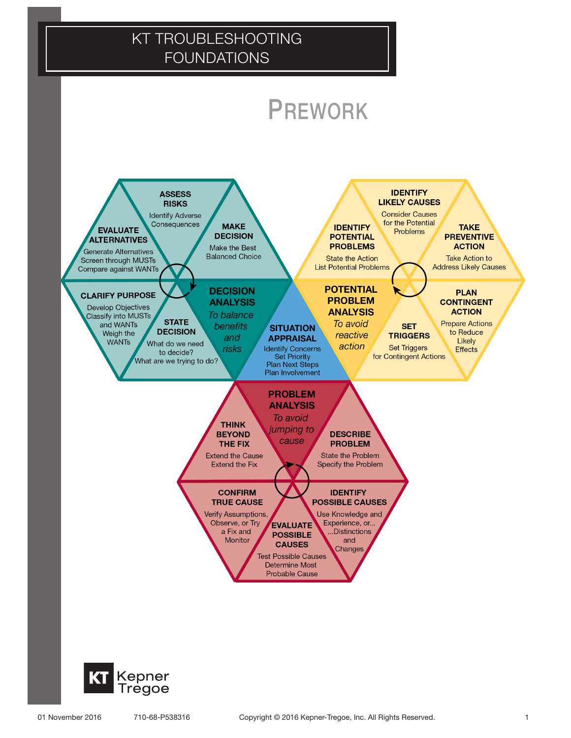

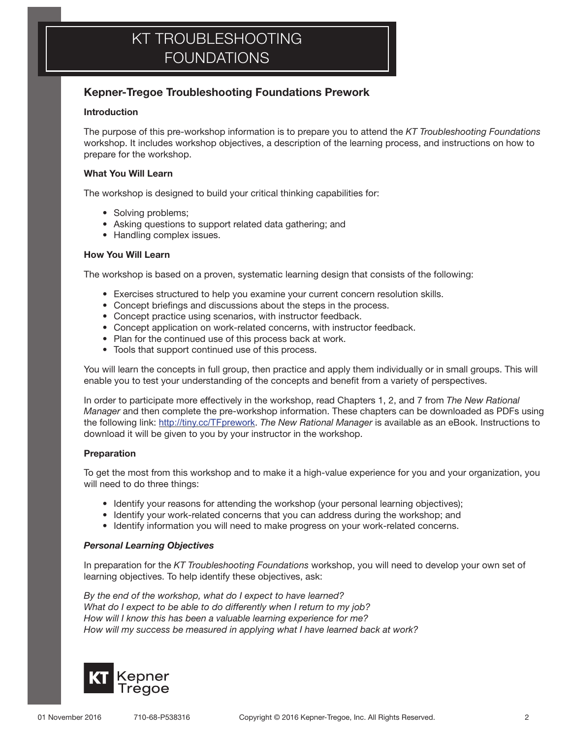### Kepner-Tregoe Troubleshooting Foundations Prework

### Introduction

The purpose of this pre-workshop information is to prepare you to attend the *KT Troubleshooting Foundations*  workshop. It includes workshop objectives, a description of the learning process, and instructions on how to prepare for the workshop.

### What You Will Learn

The workshop is designed to build your critical thinking capabilities for:

- Solving problems;
- Asking questions to support related data gathering; and
- Handling complex issues.

### How You Will Learn

The workshop is based on a proven, systematic learning design that consists of the following:

- Exercises structured to help you examine your current concern resolution skills.
- Concept briefings and discussions about the steps in the process.
- Concept practice using scenarios, with instructor feedback.
- Concept application on work-related concerns, with instructor feedback.
- Plan for the continued use of this process back at work.
- Tools that support continued use of this process.

You will learn the concepts in full group, then practice and apply them individually or in small groups. This will enable you to test your understanding of the concepts and benefit from a variety of perspectives.

In order to participate more effectively in the workshop, read Chapters 1, 2, and 7 from *The New Rational Manager* and then complete the pre-workshop information. These chapters can be downloaded as PDFs using the following link: http://tiny.cc/TFprework. *The New Rational Manager* is available as an eBook. Instructions to download it will be given to you by your instructor in the workshop.

### **Preparation**

To get the most from this workshop and to make it a high-value experience for you and your organization, you will need to do three things:

- Identify your reasons for attending the workshop (your personal learning objectives);
- Identify your work-related concerns that you can address during the workshop; and
- Identify information you will need to make progress on your work-related concerns.

#### *Personal Learning Objectives*

In preparation for the *KT Troubleshooting Foundations* workshop, you will need to develop your own set of learning objectives. To help identify these objectives, ask:

*By the end of the workshop, what do I expect to have learned? What do I expect to be able to do differently when I return to my job? How will I know this has been a valuable learning experience for me? How will my success be measured in applying what I have learned back at work?*

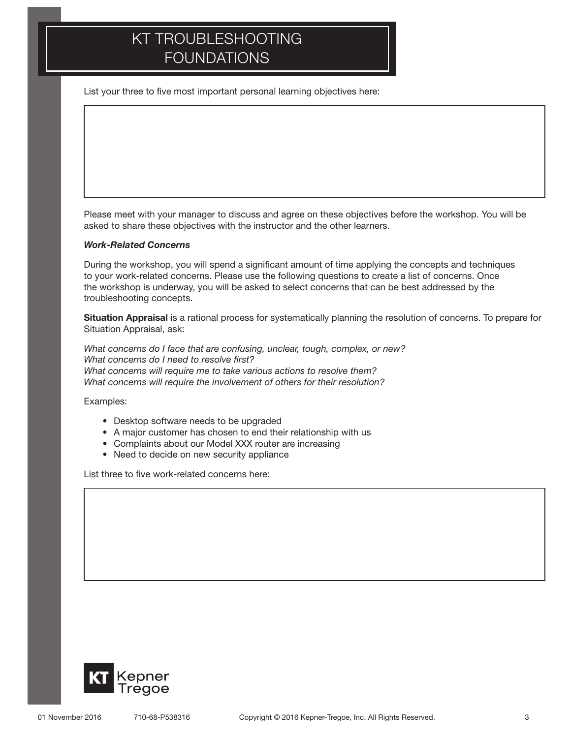List your three to five most important personal learning objectives here:

Please meet with your manager to discuss and agree on these objectives before the workshop. You will be asked to share these objectives with the instructor and the other learners.

#### *Work-Related Concerns*

During the workshop, you will spend a significant amount of time applying the concepts and techniques to your work-related concerns. Please use the following questions to create a list of concerns. Once the workshop is underway, you will be asked to select concerns that can be best addressed by the troubleshooting concepts.

Situation Appraisal is a rational process for systematically planning the resolution of concerns. To prepare for Situation Appraisal, ask:

*What concerns do I face that are confusing, unclear, tough, complex, or new? What concerns do I need to resolve first? What concerns will require me to take various actions to resolve them? What concerns will require the involvement of others for their resolution?*

Examples:

- Desktop software needs to be upgraded
- A major customer has chosen to end their relationship with us
- Complaints about our Model XXX router are increasing
- Need to decide on new security appliance

List three to five work-related concerns here:

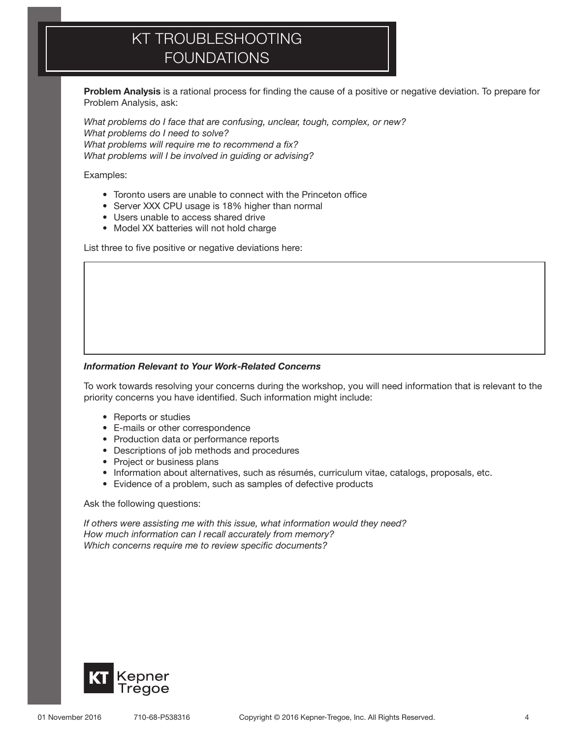Problem Analysis is a rational process for finding the cause of a positive or negative deviation. To prepare for Problem Analysis, ask:

*What problems do I face that are confusing, unclear, tough, complex, or new? What problems do I need to solve? What problems will require me to recommend a fix? What problems will I be involved in guiding or advising?*

Examples:

- • Toronto users are unable to connect with the Princeton office
- Server XXX CPU usage is 18% higher than normal
- • Users unable to access shared drive
- Model XX batteries will not hold charge

List three to five positive or negative deviations here:

#### *Information Relevant to Your Work-Related Concerns*

To work towards resolving your concerns during the workshop, you will need information that is relevant to the priority concerns you have identified. Such information might include:

- Reports or studies
- • E-mails or other correspondence
- Production data or performance reports
- • Descriptions of job methods and procedures
- Project or business plans
- • Information about alternatives, such as résumés, curriculum vitae, catalogs, proposals, etc.
- Evidence of a problem, such as samples of defective products

#### Ask the following questions:

*If others were assisting me with this issue, what information would they need? How much information can I recall accurately from memory? Which concerns require me to review specific documents?*